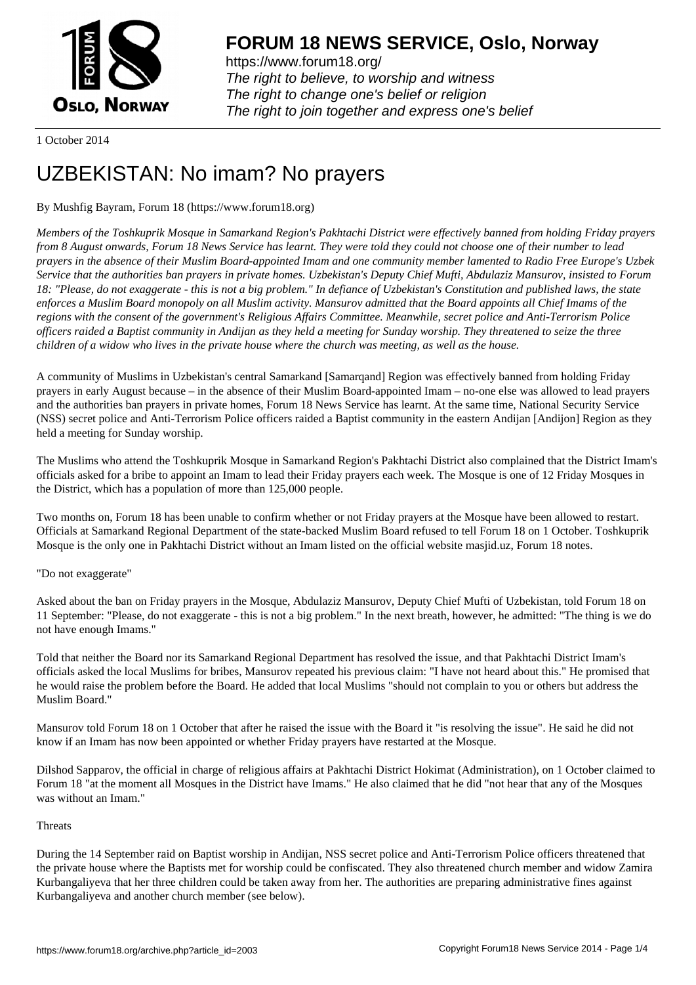

https://www.forum18.org/ The right to believe, to worship and witness The right to change one's belief or religion [The right to join together a](https://www.forum18.org/)nd express one's belief

1 October 2014

# [UZBEKISTAN:](https://www.forum18.org) No imam? No prayers

# By Mushfig Bayram, Forum 18 (https://www.forum18.org)

*Members of the Toshkuprik Mosque in Samarkand Region's Pakhtachi District were effectively banned from holding Friday prayers from 8 August onwards, Forum 18 News Service has learnt. They were told they could not choose one of their number to lead prayers in the absence of their Muslim Board-appointed Imam and one community member lamented to Radio Free Europe's Uzbek Service that the authorities ban prayers in private homes. Uzbekistan's Deputy Chief Mufti, Abdulaziz Mansurov, insisted to Forum 18: "Please, do not exaggerate - this is not a big problem." In defiance of Uzbekistan's Constitution and published laws, the state enforces a Muslim Board monopoly on all Muslim activity. Mansurov admitted that the Board appoints all Chief Imams of the regions with the consent of the government's Religious Affairs Committee. Meanwhile, secret police and Anti-Terrorism Police officers raided a Baptist community in Andijan as they held a meeting for Sunday worship. They threatened to seize the three children of a widow who lives in the private house where the church was meeting, as well as the house.*

A community of Muslims in Uzbekistan's central Samarkand [Samarqand] Region was effectively banned from holding Friday prayers in early August because – in the absence of their Muslim Board-appointed Imam – no-one else was allowed to lead prayers and the authorities ban prayers in private homes, Forum 18 News Service has learnt. At the same time, National Security Service (NSS) secret police and Anti-Terrorism Police officers raided a Baptist community in the eastern Andijan [Andijon] Region as they held a meeting for Sunday worship.

The Muslims who attend the Toshkuprik Mosque in Samarkand Region's Pakhtachi District also complained that the District Imam's officials asked for a bribe to appoint an Imam to lead their Friday prayers each week. The Mosque is one of 12 Friday Mosques in the District, which has a population of more than 125,000 people.

Two months on, Forum 18 has been unable to confirm whether or not Friday prayers at the Mosque have been allowed to restart. Officials at Samarkand Regional Department of the state-backed Muslim Board refused to tell Forum 18 on 1 October. Toshkuprik Mosque is the only one in Pakhtachi District without an Imam listed on the official website masjid.uz, Forum 18 notes.

# "Do not exaggerate"

Asked about the ban on Friday prayers in the Mosque, Abdulaziz Mansurov, Deputy Chief Mufti of Uzbekistan, told Forum 18 on 11 September: "Please, do not exaggerate - this is not a big problem." In the next breath, however, he admitted: "The thing is we do not have enough Imams."

Told that neither the Board nor its Samarkand Regional Department has resolved the issue, and that Pakhtachi District Imam's officials asked the local Muslims for bribes, Mansurov repeated his previous claim: "I have not heard about this." He promised that he would raise the problem before the Board. He added that local Muslims "should not complain to you or others but address the Muslim Board."

Mansurov told Forum 18 on 1 October that after he raised the issue with the Board it "is resolving the issue". He said he did not know if an Imam has now been appointed or whether Friday prayers have restarted at the Mosque.

Dilshod Sapparov, the official in charge of religious affairs at Pakhtachi District Hokimat (Administration), on 1 October claimed to Forum 18 "at the moment all Mosques in the District have Imams." He also claimed that he did "not hear that any of the Mosques was without an Imam."

## **Threats**

During the 14 September raid on Baptist worship in Andijan, NSS secret police and Anti-Terrorism Police officers threatened that the private house where the Baptists met for worship could be confiscated. They also threatened church member and widow Zamira Kurbangaliyeva that her three children could be taken away from her. The authorities are preparing administrative fines against Kurbangaliyeva and another church member (see below).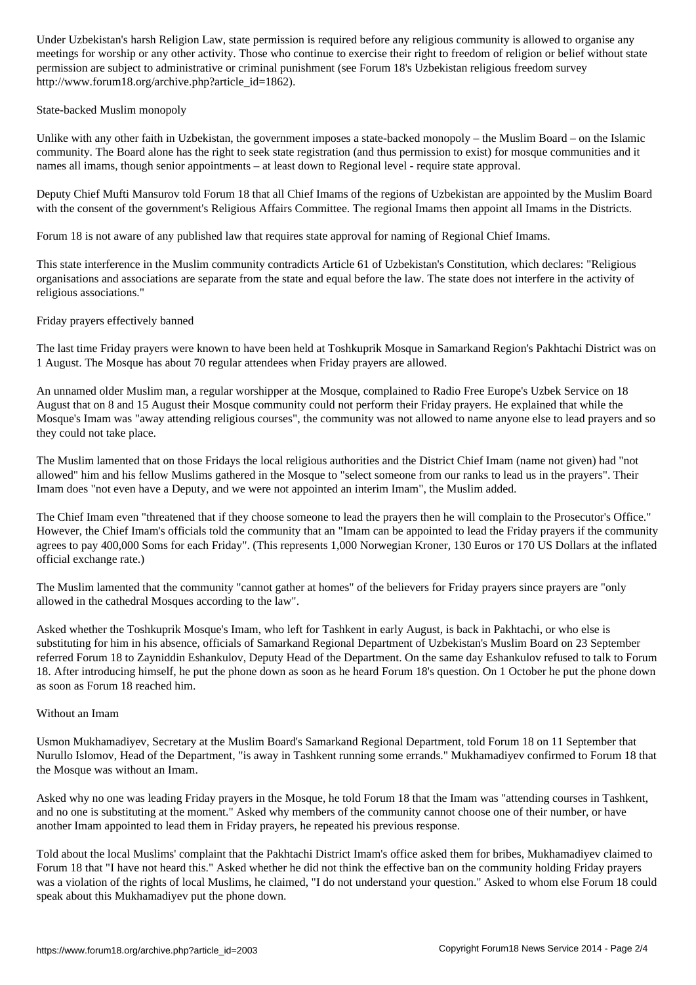meetings for worship or any other activity. Those who continue to exercise their right to freedom of religion or belief without state permission are subject to administrative or criminal punishment (see Forum 18's Uzbekistan religious freedom survey http://www.forum18.org/archive.php?article\_id=1862).

State-backed Muslim monopoly

Unlike with any other faith in Uzbekistan, the government imposes a state-backed monopoly – the Muslim Board – on the Islamic community. The Board alone has the right to seek state registration (and thus permission to exist) for mosque communities and it names all imams, though senior appointments – at least down to Regional level - require state approval.

Deputy Chief Mufti Mansurov told Forum 18 that all Chief Imams of the regions of Uzbekistan are appointed by the Muslim Board with the consent of the government's Religious Affairs Committee. The regional Imams then appoint all Imams in the Districts.

Forum 18 is not aware of any published law that requires state approval for naming of Regional Chief Imams.

This state interference in the Muslim community contradicts Article 61 of Uzbekistan's Constitution, which declares: "Religious organisations and associations are separate from the state and equal before the law. The state does not interfere in the activity of religious associations."

Friday prayers effectively banned

The last time Friday prayers were known to have been held at Toshkuprik Mosque in Samarkand Region's Pakhtachi District was on 1 August. The Mosque has about 70 regular attendees when Friday prayers are allowed.

An unnamed older Muslim man, a regular worshipper at the Mosque, complained to Radio Free Europe's Uzbek Service on 18 August that on 8 and 15 August their Mosque community could not perform their Friday prayers. He explained that while the Mosque's Imam was "away attending religious courses", the community was not allowed to name anyone else to lead prayers and so they could not take place.

The Muslim lamented that on those Fridays the local religious authorities and the District Chief Imam (name not given) had "not allowed" him and his fellow Muslims gathered in the Mosque to "select someone from our ranks to lead us in the prayers". Their Imam does "not even have a Deputy, and we were not appointed an interim Imam", the Muslim added.

The Chief Imam even "threatened that if they choose someone to lead the prayers then he will complain to the Prosecutor's Office." However, the Chief Imam's officials told the community that an "Imam can be appointed to lead the Friday prayers if the community agrees to pay 400,000 Soms for each Friday". (This represents 1,000 Norwegian Kroner, 130 Euros or 170 US Dollars at the inflated official exchange rate.)

The Muslim lamented that the community "cannot gather at homes" of the believers for Friday prayers since prayers are "only allowed in the cathedral Mosques according to the law".

Asked whether the Toshkuprik Mosque's Imam, who left for Tashkent in early August, is back in Pakhtachi, or who else is substituting for him in his absence, officials of Samarkand Regional Department of Uzbekistan's Muslim Board on 23 September referred Forum 18 to Zayniddin Eshankulov, Deputy Head of the Department. On the same day Eshankulov refused to talk to Forum 18. After introducing himself, he put the phone down as soon as he heard Forum 18's question. On 1 October he put the phone down as soon as Forum 18 reached him.

## Without an Imam

Usmon Mukhamadiyev, Secretary at the Muslim Board's Samarkand Regional Department, told Forum 18 on 11 September that Nurullo Islomov, Head of the Department, "is away in Tashkent running some errands." Mukhamadiyev confirmed to Forum 18 that the Mosque was without an Imam.

Asked why no one was leading Friday prayers in the Mosque, he told Forum 18 that the Imam was "attending courses in Tashkent, and no one is substituting at the moment." Asked why members of the community cannot choose one of their number, or have another Imam appointed to lead them in Friday prayers, he repeated his previous response.

Told about the local Muslims' complaint that the Pakhtachi District Imam's office asked them for bribes, Mukhamadiyev claimed to Forum 18 that "I have not heard this." Asked whether he did not think the effective ban on the community holding Friday prayers was a violation of the rights of local Muslims, he claimed, "I do not understand your question." Asked to whom else Forum 18 could speak about this Mukhamadiyev put the phone down.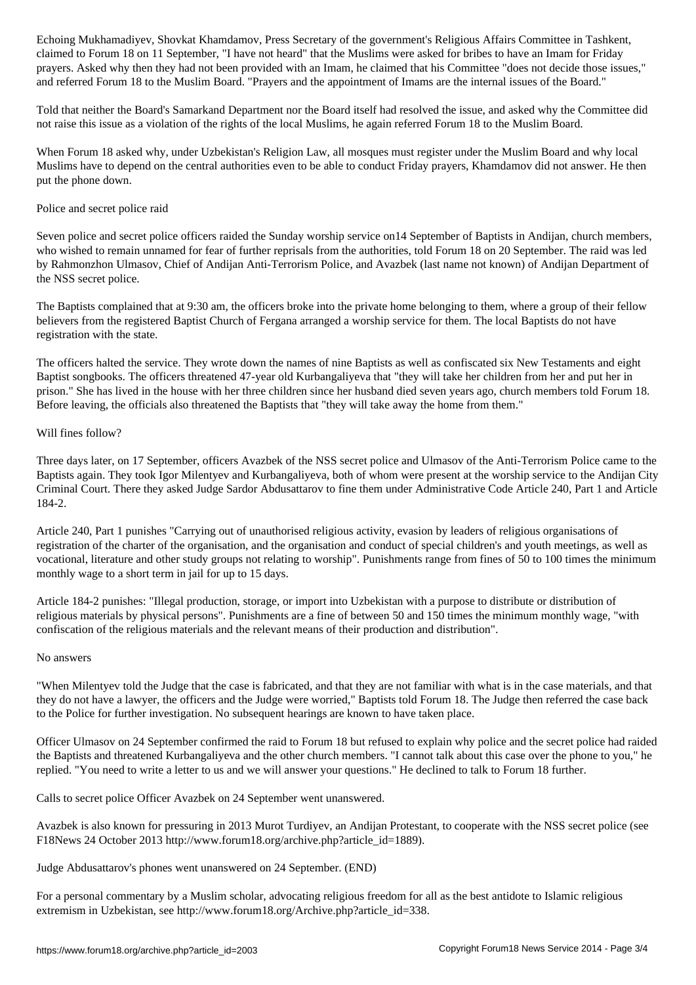claimed to Forum 18 on 11 September, "I have not heard" that the Muslims were asked for bribes to have an Imam for Friday prayers. Asked why then they had not been provided with an Imam, he claimed that his Committee "does not decide those issues," and referred Forum 18 to the Muslim Board. "Prayers and the appointment of Imams are the internal issues of the Board."

Told that neither the Board's Samarkand Department nor the Board itself had resolved the issue, and asked why the Committee did not raise this issue as a violation of the rights of the local Muslims, he again referred Forum 18 to the Muslim Board.

When Forum 18 asked why, under Uzbekistan's Religion Law, all mosques must register under the Muslim Board and why local Muslims have to depend on the central authorities even to be able to conduct Friday prayers, Khamdamov did not answer. He then put the phone down.

#### Police and secret police raid

Seven police and secret police officers raided the Sunday worship service on14 September of Baptists in Andijan, church members, who wished to remain unnamed for fear of further reprisals from the authorities, told Forum 18 on 20 September. The raid was led by Rahmonzhon Ulmasov, Chief of Andijan Anti-Terrorism Police, and Avazbek (last name not known) of Andijan Department of the NSS secret police.

The Baptists complained that at 9:30 am, the officers broke into the private home belonging to them, where a group of their fellow believers from the registered Baptist Church of Fergana arranged a worship service for them. The local Baptists do not have registration with the state.

The officers halted the service. They wrote down the names of nine Baptists as well as confiscated six New Testaments and eight Baptist songbooks. The officers threatened 47-year old Kurbangaliyeva that "they will take her children from her and put her in prison." She has lived in the house with her three children since her husband died seven years ago, church members told Forum 18. Before leaving, the officials also threatened the Baptists that "they will take away the home from them."

#### Will fines follow?

Three days later, on 17 September, officers Avazbek of the NSS secret police and Ulmasov of the Anti-Terrorism Police came to the Baptists again. They took Igor Milentyev and Kurbangaliyeva, both of whom were present at the worship service to the Andijan City Criminal Court. There they asked Judge Sardor Abdusattarov to fine them under Administrative Code Article 240, Part 1 and Article 184-2.

Article 240, Part 1 punishes "Carrying out of unauthorised religious activity, evasion by leaders of religious organisations of registration of the charter of the organisation, and the organisation and conduct of special children's and youth meetings, as well as vocational, literature and other study groups not relating to worship". Punishments range from fines of 50 to 100 times the minimum monthly wage to a short term in jail for up to 15 days.

Article 184-2 punishes: "Illegal production, storage, or import into Uzbekistan with a purpose to distribute or distribution of religious materials by physical persons". Punishments are a fine of between 50 and 150 times the minimum monthly wage, "with confiscation of the religious materials and the relevant means of their production and distribution".

#### No answers

"When Milentyev told the Judge that the case is fabricated, and that they are not familiar with what is in the case materials, and that they do not have a lawyer, the officers and the Judge were worried," Baptists told Forum 18. The Judge then referred the case back to the Police for further investigation. No subsequent hearings are known to have taken place.

Officer Ulmasov on 24 September confirmed the raid to Forum 18 but refused to explain why police and the secret police had raided the Baptists and threatened Kurbangaliyeva and the other church members. "I cannot talk about this case over the phone to you," he replied. "You need to write a letter to us and we will answer your questions." He declined to talk to Forum 18 further.

Calls to secret police Officer Avazbek on 24 September went unanswered.

Avazbek is also known for pressuring in 2013 Murot Turdiyev, an Andijan Protestant, to cooperate with the NSS secret police (see F18News 24 October 2013 http://www.forum18.org/archive.php?article\_id=1889).

Judge Abdusattarov's phones went unanswered on 24 September. (END)

For a personal commentary by a Muslim scholar, advocating religious freedom for all as the best antidote to Islamic religious extremism in Uzbekistan, see http://www.forum18.org/Archive.php?article\_id=338.